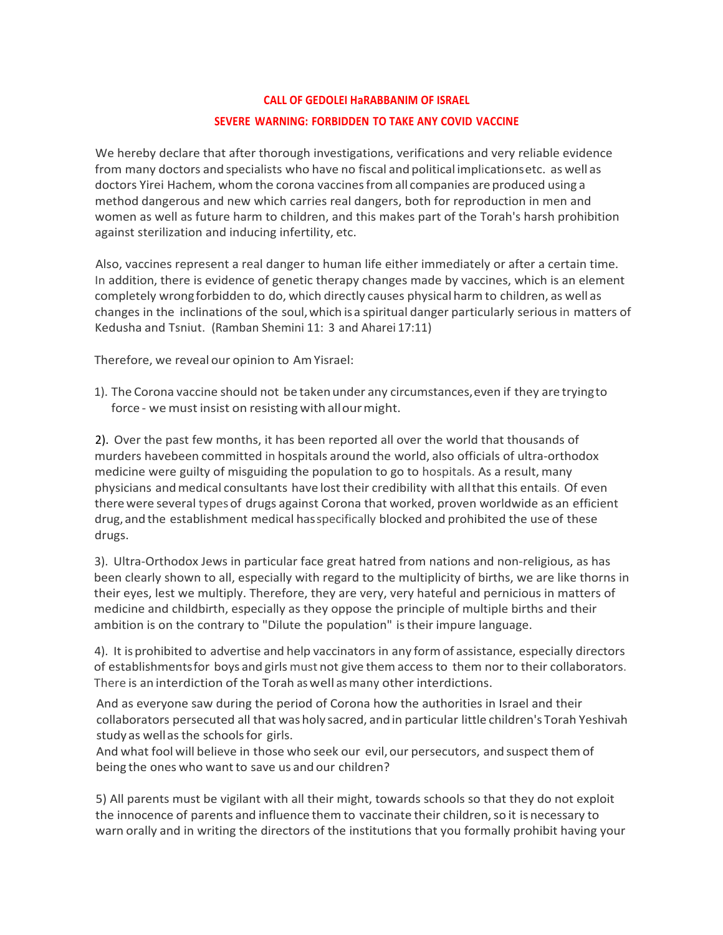## **CALL OF GEDOLEI HaRABBANIM OF ISRAEL**

# **SEVERE WARNING: FORBIDDEN TO TAKE ANY COVID VACCINE**

We hereby declare that after thorough investigations, verifications and very reliable evidence from many doctors and specialists who have no fiscal and political implicationsetc. as well as doctors Yirei Hachem, whomthe corona vaccinesfromall companies areproduced using a method dangerous and new which carries real dangers, both for reproduction in men and women as well as future harm to children, and this makes part of the Torah's harsh prohibition against sterilization and inducing infertility, etc.

Also, vaccines represent a real danger to human life either immediately or after a certain time. In addition, there is evidence of genetic therapy changes made by vaccines, which is an element completely wrongforbidden to do, which directly causes physical harm to children, as well as changes in the inclinations of the soul,which isa spiritual danger particularly seriousin matters of Kedusha and Tsniut. (Ramban Shemini 11: 3 and Aharei 17:11)

Therefore, we reveal our opinion to AmYisrael:

1). The Corona vaccine should not be taken under any circumstances,even if they are tryingto force - we must insist on resisting with allour might.

2). Over the past few months, it has been reported all over the world that thousands of murders havebeen committed in hospitals around the world, also officials of ultra-orthodox medicine were guilty of misguiding the population to go to hospitals. As a result, many physicians andmedical consultants have lost their credibility with allthat this entails. Of even therewere several typesof drugs against Corona that worked, proven worldwide as an efficient drug, and the establishment medical has specifically blocked and prohibited the use of these drugs.

3). Ultra-Orthodox Jews in particular face great hatred from nations and non-religious, as has been clearly shown to all, especially with regard to the multiplicity of births, we are like thorns in their eyes, lest we multiply. Therefore, they are very, very hateful and pernicious in matters of medicine and childbirth, especially as they oppose the principle of multiple births and their ambition is on the contrary to "Dilute the population" istheir impure language.

4). It isprohibited to advertise and help vaccinators in any formof assistance, especially directors of establishmentsfor boys and girls must not give them access to them nor to their collaborators. There is an interdiction of the Torah as well as many other interdictions.

And as everyone saw during the period of Corona how the authorities in Israel and their collaborators persecuted all that was holy sacred, and in particular little children's Torah Yeshivah study as well as the schools for girls.

And what fool will believe in those who seek our evil, our persecutors, and suspect them of being the ones who want to save us and our children?

5) All parents must be vigilant with all their might, towards schools so that they do not exploit the innocence of parents and influence them to vaccinate their children, so it is necessary to warn orally and in writing the directors of the institutions that you formally prohibit having your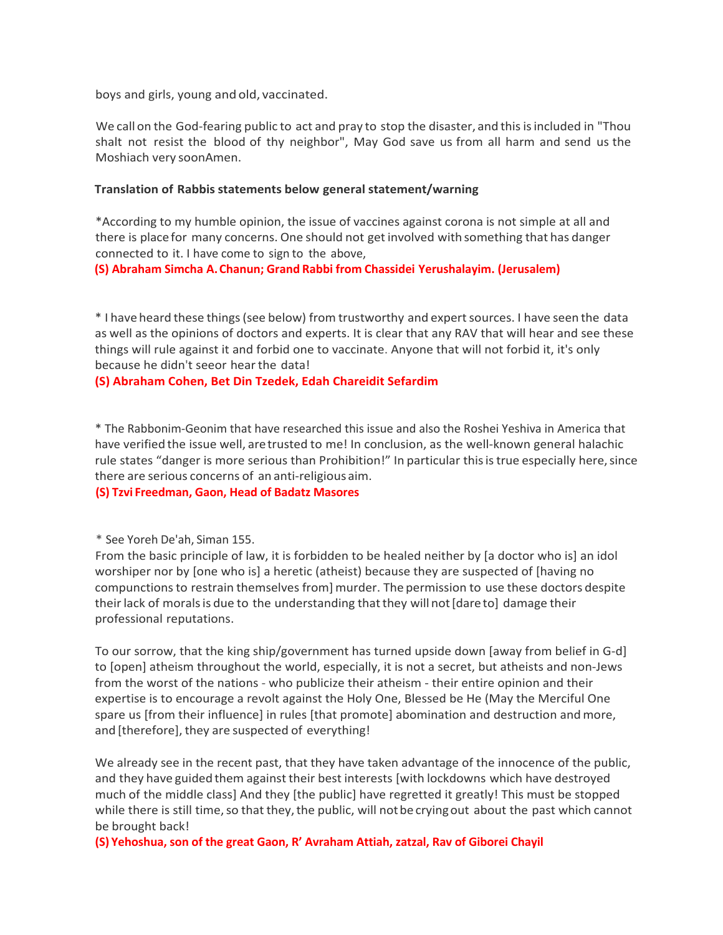boys and girls, young and old, vaccinated.

We call on the God-fearing public to act and pray to stop the disaster, and this is included in "Thou shalt not resist the blood of thy neighbor", May God save us from all harm and send us the Moshiach very soonAmen.

## **Translation of Rabbis statements below general statement/warning**

\*According to my humble opinion, the issue of vaccines against corona is not simple at all and there is place for many concerns. One should not getinvolved with something that has danger connected to it. I have come to sign to the above,

**(S) Abraham Simcha A.Chanun; Grand Rabbi from Chassidei Yerushalayim. (Jerusalem)**

\* I have heard these things(see below) from trustworthy and expertsources. I have seen the data as well as the opinions of doctors and experts. It is clear that any RAV that will hear and see these things will rule against it and forbid one to vaccinate. Anyone that will not forbid it, it's only because he didn't seeor hearthe data!

# **(S) Abraham Cohen, Bet Din Tzedek, Edah Chareidit Sefardim**

\* The Rabbonim-Geonim that have researched this issue and also the Roshei Yeshiva in America that have verified the issue well, are trusted to me! In conclusion, as the well-known general halachic rule states "danger is more serious than Prohibition!" In particular this is true especially here, since there are serious concerns of an anti-religious aim.

## **(S) Tzvi Freedman, Gaon, Head of Badatz Masores**

\* See Yoreh De'ah, Siman 155.

From the basic principle of law, it is forbidden to be healed neither by [a doctor who is] an idol worshiper nor by [one who is] a heretic (atheist) because they are suspected of [having no compunctions to restrain themselves from] murder. The permission to use these doctors despite their lack of morals is due to the understanding that they will not [dare to] damage their professional reputations.

To our sorrow, that the king ship/government has turned upside down [away from belief in G-d] to [open] atheism throughout the world, especially, it is not a secret, but atheists and non-Jews from the worst of the nations - who publicize their atheism - their entire opinion and their expertise is to encourage a revolt against the Holy One, Blessed be He (May the Merciful One spare us [from their influence] in rules [that promote] abomination and destruction and more, and [therefore], they are suspected of everything!

We already see in the recent past, that they have taken advantage of the innocence of the public, and they have guided them against their best interests [with lockdowns which have destroyed much of the middle class] And they [the public] have regretted it greatly! This must be stopped while there is still time, so that they, the public, will not be crying out about the past which cannot be brought back!

**(S) Yehoshua, son of the great Gaon, R' Avraham Attiah, zatzal, Rav of Giborei Chayil**